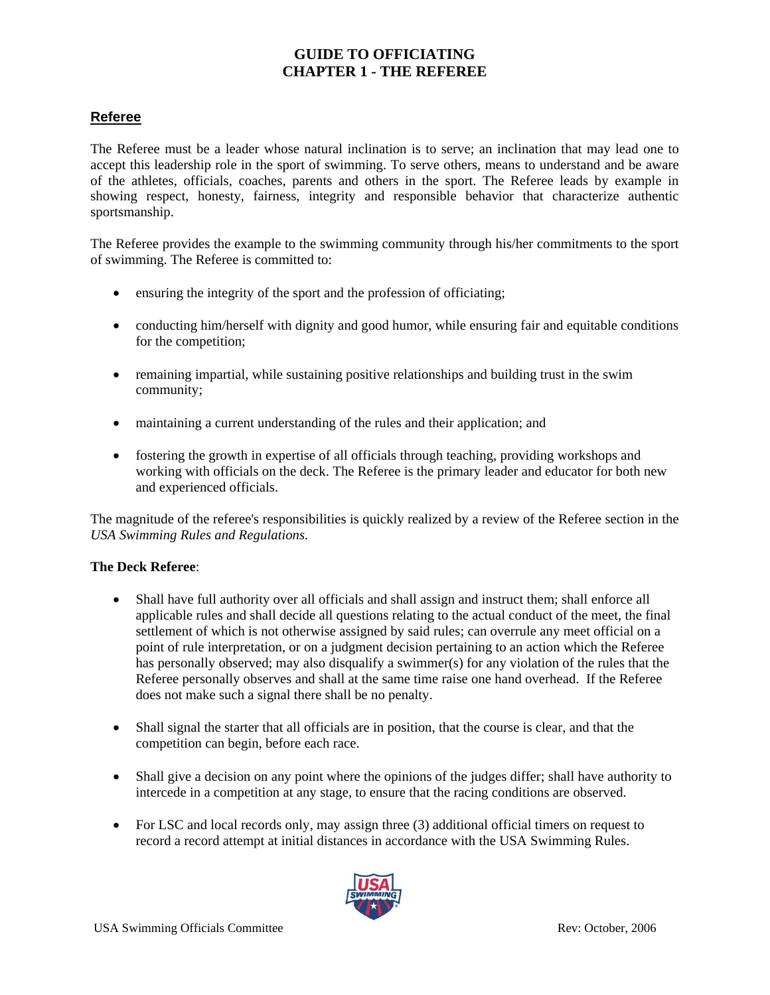## **Referee**

The Referee must be a leader whose natural inclination is to serve; an inclination that may lead one to accept this leadership role in the sport of swimming. To serve others, means to understand and be aware of the athletes, officials, coaches, parents and others in the sport. The Referee leads by example in showing respect, honesty, fairness, integrity and responsible behavior that characterize authentic sportsmanship.

The Referee provides the example to the swimming community through his/her commitments to the sport of swimming. The Referee is committed to:

- ensuring the integrity of the sport and the profession of officiating;
- conducting him/herself with dignity and good humor, while ensuring fair and equitable conditions for the competition;
- remaining impartial, while sustaining positive relationships and building trust in the swim community;
- maintaining a current understanding of the rules and their application; and
- fostering the growth in expertise of all officials through teaching, providing workshops and working with officials on the deck. The Referee is the primary leader and educator for both new and experienced officials.

The magnitude of the referee's responsibilities is quickly realized by a review of the Referee section in the *USA Swimming Rules and Regulations.* 

### **The Deck Referee**:

- Shall have full authority over all officials and shall assign and instruct them; shall enforce all applicable rules and shall decide all questions relating to the actual conduct of the meet, the final settlement of which is not otherwise assigned by said rules; can overrule any meet official on a point of rule interpretation, or on a judgment decision pertaining to an action which the Referee has personally observed; may also disqualify a swimmer(s) for any violation of the rules that the Referee personally observes and shall at the same time raise one hand overhead. If the Referee does not make such a signal there shall be no penalty.
- Shall signal the starter that all officials are in position, that the course is clear, and that the competition can begin, before each race.
- Shall give a decision on any point where the opinions of the judges differ; shall have authority to intercede in a competition at any stage, to ensure that the racing conditions are observed.
- For LSC and local records only, may assign three (3) additional official timers on request to record a record attempt at initial distances in accordance with the USA Swimming Rules.

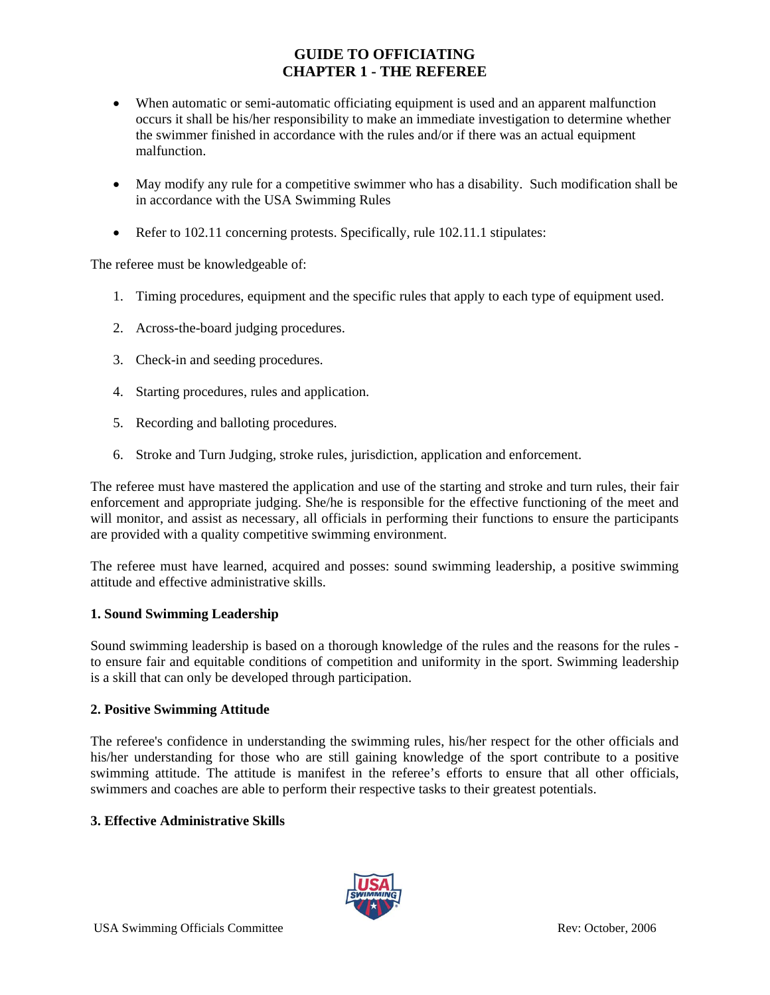- When automatic or semi-automatic officiating equipment is used and an apparent malfunction occurs it shall be his/her responsibility to make an immediate investigation to determine whether the swimmer finished in accordance with the rules and/or if there was an actual equipment malfunction.
- May modify any rule for a competitive swimmer who has a disability. Such modification shall be in accordance with the USA Swimming Rules
- Refer to 102.11 concerning protests. Specifically, rule 102.11.1 stipulates:

The referee must be knowledgeable of:

- 1. Timing procedures, equipment and the specific rules that apply to each type of equipment used.
- 2. Across-the-board judging procedures.
- 3. Check-in and seeding procedures.
- 4. Starting procedures, rules and application.
- 5. Recording and balloting procedures.
- 6. Stroke and Turn Judging, stroke rules, jurisdiction, application and enforcement.

The referee must have mastered the application and use of the starting and stroke and turn rules, their fair enforcement and appropriate judging. She/he is responsible for the effective functioning of the meet and will monitor, and assist as necessary, all officials in performing their functions to ensure the participants are provided with a quality competitive swimming environment.

The referee must have learned, acquired and posses: sound swimming leadership, a positive swimming attitude and effective administrative skills.

#### **1. Sound Swimming Leadership**

Sound swimming leadership is based on a thorough knowledge of the rules and the reasons for the rules to ensure fair and equitable conditions of competition and uniformity in the sport. Swimming leadership is a skill that can only be developed through participation.

#### **2. Positive Swimming Attitude**

The referee's confidence in understanding the swimming rules, his/her respect for the other officials and his/her understanding for those who are still gaining knowledge of the sport contribute to a positive swimming attitude. The attitude is manifest in the referee's efforts to ensure that all other officials, swimmers and coaches are able to perform their respective tasks to their greatest potentials.

#### **3. Effective Administrative Skills**

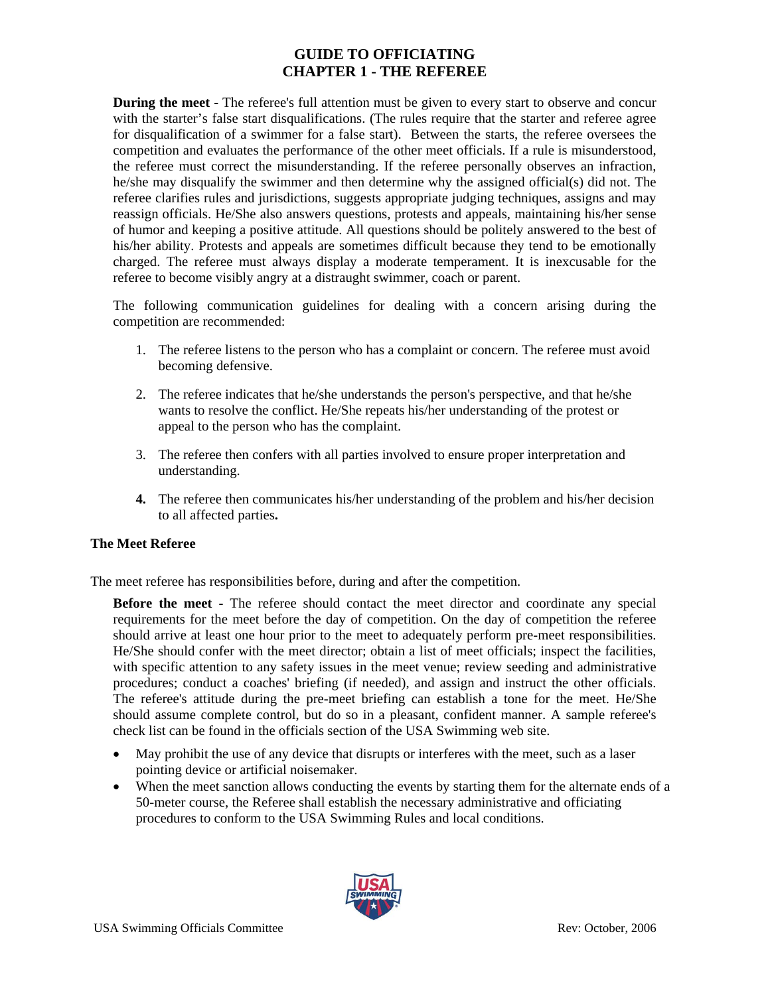**During the meet -** The referee's full attention must be given to every start to observe and concur with the starter's false start disqualifications. (The rules require that the starter and referee agree for disqualification of a swimmer for a false start). Between the starts, the referee oversees the competition and evaluates the performance of the other meet officials. If a rule is misunderstood, the referee must correct the misunderstanding. If the referee personally observes an infraction, he/she may disqualify the swimmer and then determine why the assigned official(s) did not. The referee clarifies rules and jurisdictions, suggests appropriate judging techniques, assigns and may reassign officials. He/She also answers questions, protests and appeals, maintaining his/her sense of humor and keeping a positive attitude. All questions should be politely answered to the best of his/her ability. Protests and appeals are sometimes difficult because they tend to be emotionally charged. The referee must always display a moderate temperament. It is inexcusable for the referee to become visibly angry at a distraught swimmer, coach or parent.

The following communication guidelines for dealing with a concern arising during the competition are recommended:

- 1. The referee listens to the person who has a complaint or concern. The referee must avoid becoming defensive.
- 2. The referee indicates that he/she understands the person's perspective, and that he/she wants to resolve the conflict. He/She repeats his/her understanding of the protest or appeal to the person who has the complaint.
- 3. The referee then confers with all parties involved to ensure proper interpretation and understanding.
- **4.** The referee then communicates his/her understanding of the problem and his/her decision to all affected parties**.**

### **The Meet Referee**

The meet referee has responsibilities before, during and after the competition.

**Before the meet -** The referee should contact the meet director and coordinate any special requirements for the meet before the day of competition. On the day of competition the referee should arrive at least one hour prior to the meet to adequately perform pre-meet responsibilities. He/She should confer with the meet director; obtain a list of meet officials; inspect the facilities, with specific attention to any safety issues in the meet venue; review seeding and administrative procedures; conduct a coaches' briefing (if needed), and assign and instruct the other officials. The referee's attitude during the pre-meet briefing can establish a tone for the meet. He/She should assume complete control, but do so in a pleasant, confident manner. A sample referee's check list can be found in the officials section of the USA Swimming web site.

- May prohibit the use of any device that disrupts or interferes with the meet, such as a laser pointing device or artificial noisemaker.
- When the meet sanction allows conducting the events by starting them for the alternate ends of a 50-meter course, the Referee shall establish the necessary administrative and officiating procedures to conform to the USA Swimming Rules and local conditions.